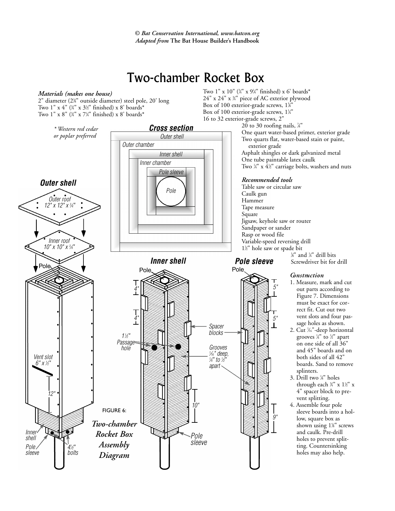*© Bat Conservation International, www.batcon.org Adapted from* **The Bat House Builder's Handbook**

## Two-chamber Rocket Box

## *Materials (makes one house)*

2" diameter (23 ⁄8" outside diameter) steel pole, 20' long Two 1" x 4" (¾" x 3½" finished) x 8' boards\* Two 1" x 8" (¾" x 7¼" finished) x 8' boards\*



Two 1" x 10" (¾" x 9¼" finished) x 6' boards\* 24" x 24" x 3 ⁄4" piece of AC exterior plywood Box of 100 exterior-grade screws, 1%" Box of 100 exterior-grade screws,  $1\frac{1}{4}$ " 16 to 32 exterior-grade screws, 2"

Two quarts flat, water-based stain or paint, Two ¼" x 4½" carriage bolts, washers and nuts

Screwdriver bit for drill

- 1. Measure, mark and cut out parts according to Figure 7. Dimensions must be exact for correct fit. Cut out two vent slots and four passage holes as shown.
- 2. Cut 1 ⁄16"-deep horizontal grooves 1 ⁄4" to 1 ⁄2" apart on one side of all 36" and 45" boards and on both sides of all 42" boards. Sand to remove
- through each ¾" x 1½" x 4" spacer block to pre-
- sleeve boards into a holshown using 15 ⁄8" screws and caulk. Pre-drill holes to prevent splitting. Countersinking holes may also help.